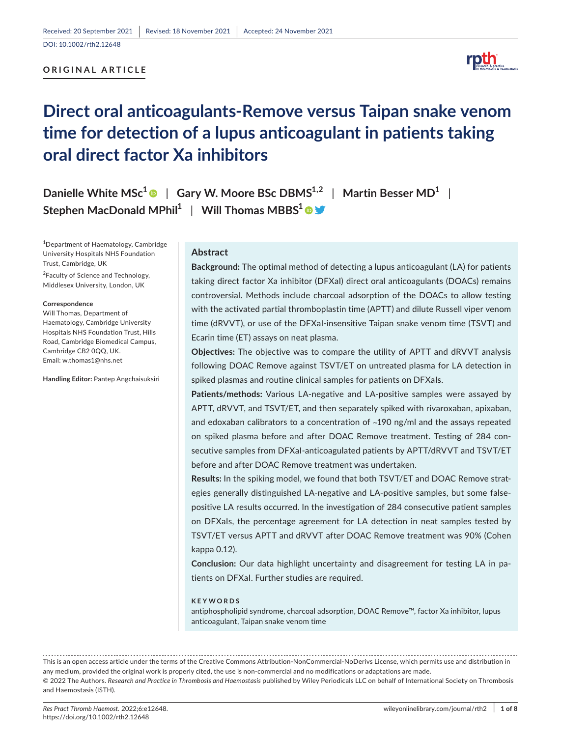# **ORIGINAL ARTICLE**



# **Direct oral anticoagulants-Remove versus Taipan snake venom time for detection of a lupus anticoagulant in patients taking oral direct factor Xa inhibitors**

**Danielle White MSc[1](https://orcid.org/0000-0002-7711-6875)** | **Gary W. Moore BSc DBMS1,2** | **Martin Besser MD1** | **Stephen MacDonald MPhil<sup>1</sup> | Will Thomas MBBS<sup>1</sup> ©**  $\blacktriangledown$ 

1 Department of Haematology, Cambridge University Hospitals NHS Foundation Trust, Cambridge, UK

<sup>2</sup>Faculty of Science and Technology, Middlesex University, London, UK

#### **Correspondence**

Will Thomas, Department of Haematology, Cambridge University Hospitals NHS Foundation Trust, Hills Road, Cambridge Biomedical Campus, Cambridge CB2 0QQ, UK. Email: [w.thomas1@nhs.net](mailto:w.thomas1@nhs.net)

**Handling Editor:** Pantep Angchaisuksiri

#### **Abstract**

**Background:** The optimal method of detecting a lupus anticoagulant (LA) for patients taking direct factor Xa inhibitor (DFXaI) direct oral anticoagulants (DOACs) remains controversial. Methods include charcoal adsorption of the DOACs to allow testing with the activated partial thromboplastin time (APTT) and dilute Russell viper venom time (dRVVT), or use of the DFXaI-insensitive Taipan snake venom time (TSVT) and Ecarin time (ET) assays on neat plasma.

**Objectives:** The objective was to compare the utility of APTT and dRVVT analysis following DOAC Remove against TSVT/ET on untreated plasma for LA detection in spiked plasmas and routine clinical samples for patients on DFXaIs.

**Patients/methods:** Various LA-negative and LA-positive samples were assayed by APTT, dRVVT, and TSVT/ET, and then separately spiked with rivaroxaban, apixaban, and edoxaban calibrators to a concentration of ~190 ng/ml and the assays repeated on spiked plasma before and after DOAC Remove treatment. Testing of 284 consecutive samples from DFXaI-anticoagulated patients by APTT/dRVVT and TSVT/ET before and after DOAC Remove treatment was undertaken.

**Results:** In the spiking model, we found that both TSVT/ET and DOAC Remove strategies generally distinguished LA-negative and LA-positive samples, but some falsepositive LA results occurred. In the investigation of 284 consecutive patient samples on DFXaIs, the percentage agreement for LA detection in neat samples tested by TSVT/ET versus APTT and dRVVT after DOAC Remove treatment was 90% (Cohen kappa 0.12).

**Conclusion:** Our data highlight uncertainty and disagreement for testing LA in patients on DFXaI. Further studies are required.

#### **KEYWORDS**

antiphospholipid syndrome, charcoal adsorption, DOAC Remove™, factor Xa inhibitor, lupus anticoagulant, Taipan snake venom time

This is an open access article under the terms of the Creative Commons Attribution-NonCommercial-NoDerivs License, which permits use and distribution in any medium, provided the original work is properly cited, the use is non-commercial and no modifications or adaptations are made. © 2022 The Authors. *Research and Practice in Thrombosis and Haemostasis* published by Wiley Periodicals LLC on behalf of International Society on Thrombosis and Haemostasis (ISTH).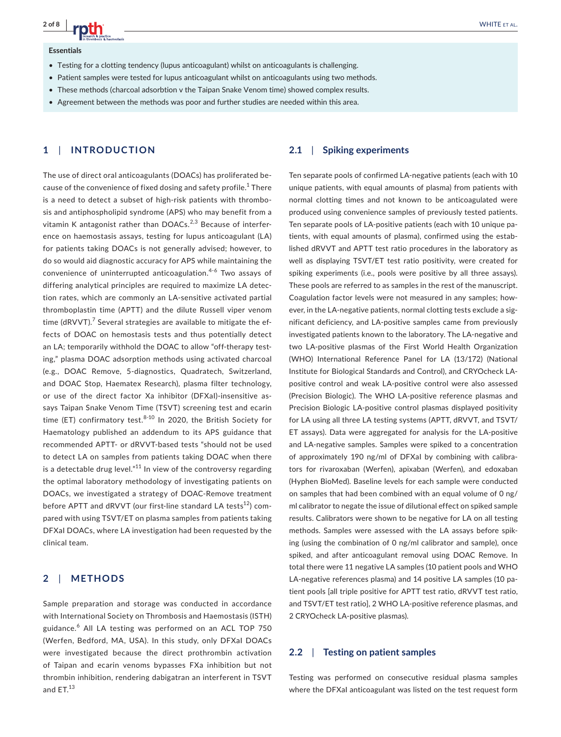#### **Essentials**

- Testing for a clotting tendency (lupus anticoagulant) whilst on anticoagulants is challenging.
- Patient samples were tested for lupus anticoagulant whilst on anticoagulants using two methods.
- These methods (charcoal adsorbtion v the Taipan Snake Venom time) showed complex results.
- • Agreement between the methods was poor and further studies are needed within this area.

# **1**  | **INTRODUCTION**

The use of direct oral anticoagulants (DOACs) has proliferated because of the convenience of fixed dosing and safety profile.<sup>1</sup> There is a need to detect a subset of high-risk patients with thrombosis and antiphospholipid syndrome (APS) who may benefit from a vitamin K antagonist rather than  $DOACs.<sup>2,3</sup>$  Because of interference on haemostasis assays, testing for lupus anticoagulant (LA) for patients taking DOACs is not generally advised; however, to do so would aid diagnostic accuracy for APS while maintaining the convenience of uninterrupted anticoagulation.<sup>4-6</sup> Two assays of differing analytical principles are required to maximize LA detection rates, which are commonly an LA-sensitive activated partial thromboplastin time (APTT) and the dilute Russell viper venom time (dRVVT). $^7$  Several strategies are available to mitigate the effects of DOAC on hemostasis tests and thus potentially detect an LA; temporarily withhold the DOAC to allow "off-therapy testing," plasma DOAC adsorption methods using activated charcoal (e.g., DOAC Remove, 5-diagnostics, Quadratech, Switzerland, and DOAC Stop, Haematex Research), plasma filter technology, or use of the direct factor Xa inhibitor (DFXaI)-insensitive assays Taipan Snake Venom Time (TSVT) screening test and ecarin time (ET) confirmatory test. $8-10$  In 2020, the British Society for Haematology published an addendum to its APS guidance that recommended APTT- or dRVVT-based tests "should not be used to detect LA on samples from patients taking DOAC when there is a detectable drug level." $11$  In view of the controversy regarding the optimal laboratory methodology of investigating patients on DOACs, we investigated a strategy of DOAC-Remove treatment before APTT and dRVVT (our first-line standard LA tests<sup>12</sup>) compared with using TSVT/ET on plasma samples from patients taking DFXaI DOACs, where LA investigation had been requested by the clinical team.

#### **2**  | **METHODS**

Sample preparation and storage was conducted in accordance with International Society on Thrombosis and Haemostasis (ISTH) guidance.<sup>6</sup> All LA testing was performed on an ACL TOP 750 (Werfen, Bedford, MA, USA). In this study, only DFXaI DOACs were investigated because the direct prothrombin activation of Taipan and ecarin venoms bypasses FXa inhibition but not thrombin inhibition, rendering dabigatran an interferent in TSVT and  $ET.<sup>13</sup>$ 

## **2.1**  | **Spiking experiments**

Ten separate pools of confirmed LA-negative patients (each with 10 unique patients, with equal amounts of plasma) from patients with normal clotting times and not known to be anticoagulated were produced using convenience samples of previously tested patients. Ten separate pools of LA-positive patients (each with 10 unique patients, with equal amounts of plasma), confirmed using the established dRVVT and APTT test ratio procedures in the laboratory as well as displaying TSVT/ET test ratio positivity, were created for spiking experiments (i.e., pools were positive by all three assays). These pools are referred to as samples in the rest of the manuscript. Coagulation factor levels were not measured in any samples; however, in the LA-negative patients, normal clotting tests exclude a significant deficiency, and LA-positive samples came from previously investigated patients known to the laboratory. The LA-negative and two LA-positive plasmas of the First World Health Organization (WHO) International Reference Panel for LA (13/172) (National Institute for Biological Standards and Control), and CRYOcheck LApositive control and weak LA-positive control were also assessed (Precision Biologic). The WHO LA-positive reference plasmas and Precision Biologic LA-positive control plasmas displayed positivity for LA using all three LA testing systems (APTT, dRVVT, and TSVT/ ET assays). Data were aggregated for analysis for the LA-positive and LA-negative samples. Samples were spiked to a concentration of approximately 190 ng/ml of DFXaI by combining with calibrators for rivaroxaban (Werfen), apixaban (Werfen), and edoxaban (Hyphen BioMed). Baseline levels for each sample were conducted on samples that had been combined with an equal volume of 0 ng/ ml calibrator to negate the issue of dilutional effect on spiked sample results. Calibrators were shown to be negative for LA on all testing methods. Samples were assessed with the LA assays before spiking (using the combination of 0 ng/ml calibrator and sample), once spiked, and after anticoagulant removal using DOAC Remove. In total there were 11 negative LA samples (10 patient pools and WHO LA-negative references plasma) and 14 positive LA samples (10 patient pools [all triple positive for APTT test ratio, dRVVT test ratio, and TSVT/ET test ratio], 2 WHO LA-positive reference plasmas, and 2 CRYOcheck LA-positive plasmas).

#### **2.2**  | **Testing on patient samples**

Testing was performed on consecutive residual plasma samples where the DFXaI anticoagulant was listed on the test request form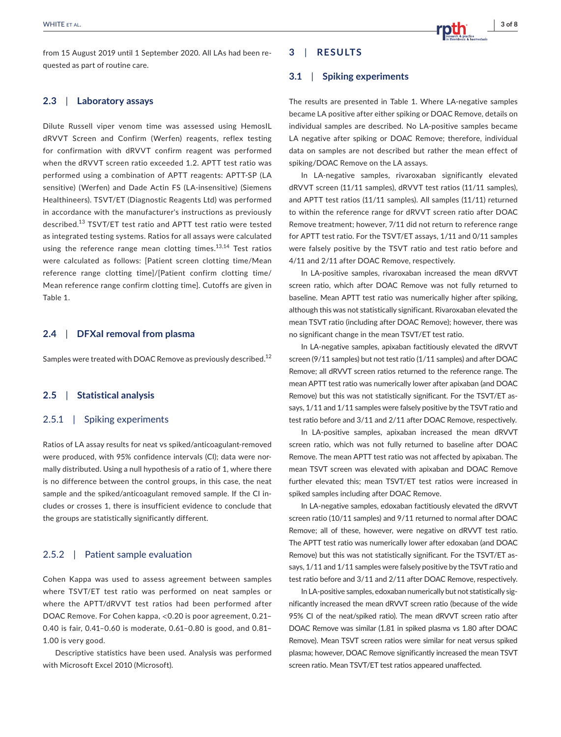## **2.3**  | **Laboratory assays**

Dilute Russell viper venom time was assessed using HemosIL dRVVT Screen and Confirm (Werfen) reagents, reflex testing for confirmation with dRVVT confirm reagent was performed when the dRVVT screen ratio exceeded 1.2. APTT test ratio was performed using a combination of APTT reagents: APTT-SP (LA sensitive) (Werfen) and Dade Actin FS (LA-insensitive) (Siemens Healthineers). TSVT/ET (Diagnostic Reagents Ltd) was performed in accordance with the manufacturer's instructions as previously described.<sup>13</sup> TSVT/ET test ratio and APTT test ratio were tested as integrated testing systems. Ratios for all assays were calculated using the reference range mean clotting times.<sup>13,14</sup> Test ratios were calculated as follows: [Patient screen clotting time/Mean reference range clotting time]/[Patient confirm clotting time/ Mean reference range confirm clotting time]. Cutoffs are given in Table 1.

## **2.4**  | **DFXaI removal from plasma**

Samples were treated with DOAC Remove as previously described.<sup>12</sup>

#### **2.5**  | **Statistical analysis**

#### 2.5.1 | Spiking experiments

Ratios of LA assay results for neat vs spiked/anticoagulant-removed were produced, with 95% confidence intervals (CI); data were normally distributed. Using a null hypothesis of a ratio of 1, where there is no difference between the control groups, in this case, the neat sample and the spiked/anticoagulant removed sample. If the CI includes or crosses 1, there is insufficient evidence to conclude that the groups are statistically significantly different.

## 2.5.2 | Patient sample evaluation

Cohen Kappa was used to assess agreement between samples where TSVT/ET test ratio was performed on neat samples or where the APTT/dRVVT test ratios had been performed after DOAC Remove. For Cohen kappa, <0.20 is poor agreement, 0.21– 0.40 is fair, 0.41–0.60 is moderate, 0.61–0.80 is good, and 0.81– 1.00 is very good.

Descriptive statistics have been used. Analysis was performed with Microsoft Excel 2010 (Microsoft).

# **3**  | **RESULTS**

#### **3.1**  | **Spiking experiments**

The results are presented in Table 1. Where LA-negative samples became LA positive after either spiking or DOAC Remove, details on individual samples are described. No LA-positive samples became LA negative after spiking or DOAC Remove; therefore, individual data on samples are not described but rather the mean effect of spiking/DOAC Remove on the LA assays.

In LA-negative samples, rivaroxaban significantly elevated dRVVT screen (11/11 samples), dRVVT test ratios (11/11 samples), and APTT test ratios (11/11 samples). All samples (11/11) returned to within the reference range for dRVVT screen ratio after DOAC Remove treatment; however, 7/11 did not return to reference range for APTT test ratio. For the TSVT/ET assays, 1/11 and 0/11 samples were falsely positive by the TSVT ratio and test ratio before and 4/11 and 2/11 after DOAC Remove, respectively.

In LA-positive samples, rivaroxaban increased the mean dRVVT screen ratio, which after DOAC Remove was not fully returned to baseline. Mean APTT test ratio was numerically higher after spiking, although this was not statistically significant. Rivaroxaban elevated the mean TSVT ratio (including after DOAC Remove); however, there was no significant change in the mean TSVT/ET test ratio.

In LA-negative samples, apixaban factitiously elevated the dRVVT screen (9/11 samples) but not test ratio (1/11 samples) and after DOAC Remove; all dRVVT screen ratios returned to the reference range. The mean APTT test ratio was numerically lower after apixaban (and DOAC Remove) but this was not statistically significant. For the TSVT/ET assays, 1/11 and 1/11 samples were falsely positive by the TSVT ratio and test ratio before and 3/11 and 2/11 after DOAC Remove, respectively.

In LA-positive samples, apixaban increased the mean dRVVT screen ratio, which was not fully returned to baseline after DOAC Remove. The mean APTT test ratio was not affected by apixaban. The mean TSVT screen was elevated with apixaban and DOAC Remove further elevated this; mean TSVT/ET test ratios were increased in spiked samples including after DOAC Remove.

In LA-negative samples, edoxaban factitiously elevated the dRVVT screen ratio (10/11 samples) and 9/11 returned to normal after DOAC Remove; all of these, however, were negative on dRVVT test ratio. The APTT test ratio was numerically lower after edoxaban (and DOAC Remove) but this was not statistically significant. For the TSVT/ET assays, 1/11 and 1/11 samples were falsely positive by the TSVT ratio and test ratio before and 3/11 and 2/11 after DOAC Remove, respectively.

In LA-positive samples, edoxaban numerically but not statistically significantly increased the mean dRVVT screen ratio (because of the wide 95% CI of the neat/spiked ratio). The mean dRVVT screen ratio after DOAC Remove was similar (1.81 in spiked plasma vs 1.80 after DOAC Remove). Mean TSVT screen ratios were similar for neat versus spiked plasma; however, DOAC Remove significantly increased the mean TSVT screen ratio. Mean TSVT/ET test ratios appeared unaffected.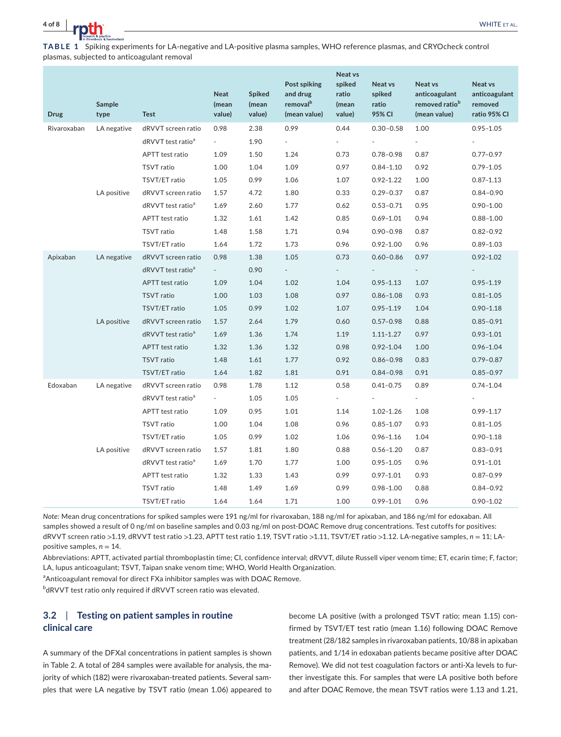

**TABLE 1** Spiking experiments for LA-negative and LA-positive plasma samples, WHO reference plasmas, and CRYOcheck control plasmas, subjected to anticoagulant removal

| <b>Drug</b> | <b>Sample</b><br>type | <b>Test</b>                   | <b>Neat</b><br>(mean<br>value) | <b>Spiked</b><br>(mean<br>value) | Post spiking<br>and drug<br>removal <sup>b</sup><br>(mean value) | <b>Neat vs</b><br>spiked<br>ratio<br>(mean<br>value) | Neat vs<br>spiked<br>ratio<br>95% CI | Neat vs<br>anticoagulant<br>removed ratio <sup>b</sup><br>(mean value) | Neat vs<br>anticoagulant<br>removed<br>ratio 95% CI |
|-------------|-----------------------|-------------------------------|--------------------------------|----------------------------------|------------------------------------------------------------------|------------------------------------------------------|--------------------------------------|------------------------------------------------------------------------|-----------------------------------------------------|
| Rivaroxaban | LA negative           | dRVVT screen ratio            | 0.98                           | 2.38                             | 0.99                                                             | 0.44                                                 | $0.30 - 0.58$                        | 1.00                                                                   | $0.95 - 1.05$                                       |
|             |                       | dRVVT test ratio <sup>a</sup> | $\sim$                         | 1.90                             | $\overline{\phantom{a}}$                                         |                                                      | $\overline{\phantom{0}}$             | $\overline{\phantom{a}}$                                               |                                                     |
|             |                       | APTT test ratio               | 1.09                           | 1.50                             | 1.24                                                             | 0.73                                                 | $0.78 - 0.98$                        | 0.87                                                                   | $0.77 - 0.97$                                       |
|             |                       | <b>TSVT</b> ratio             | 1.00                           | 1.04                             | 1.09                                                             | 0.97                                                 | $0.84 - 1.10$                        | 0.92                                                                   | $0.79 - 1.05$                                       |
|             |                       | TSVT/ET ratio                 | 1.05                           | 0.99                             | 1.06                                                             | 1.07                                                 | $0.92 - 1.22$                        | 1.00                                                                   | $0.87 - 1.13$                                       |
|             | LA positive           | dRVVT screen ratio            | 1.57                           | 4.72                             | 1.80                                                             | 0.33                                                 | $0.29 - 0.37$                        | 0.87                                                                   | $0.84 - 0.90$                                       |
|             |                       | dRVVT test ratio <sup>a</sup> | 1.69                           | 2.60                             | 1.77                                                             | 0.62                                                 | $0.53 - 0.71$                        | 0.95                                                                   | $0.90 - 1.00$                                       |
|             |                       | APTT test ratio               | 1.32                           | 1.61                             | 1.42                                                             | 0.85                                                 | $0.69 - 1.01$                        | 0.94                                                                   | $0.88 - 1.00$                                       |
|             |                       | TSVT ratio                    | 1.48                           | 1.58                             | 1.71                                                             | 0.94                                                 | $0.90 - 0.98$                        | 0.87                                                                   | $0.82 - 0.92$                                       |
|             |                       | TSVT/ET ratio                 | 1.64                           | 1.72                             | 1.73                                                             | 0.96                                                 | $0.92 - 1.00$                        | 0.96                                                                   | $0.89 - 1.03$                                       |
| Apixaban    | LA negative           | dRVVT screen ratio            | 0.98                           | 1.38                             | 1.05                                                             | 0.73                                                 | 0.60-0.86                            | 0.97                                                                   | $0.92 - 1.02$                                       |
|             |                       | dRVVT test ratio <sup>a</sup> | $\sim$                         | 0.90                             | $\overline{a}$                                                   |                                                      |                                      | $\sim$                                                                 |                                                     |
|             |                       | APTT test ratio               | 1.09                           | 1.04                             | 1.02                                                             | 1.04                                                 | $0.95 - 1.13$                        | 1.07                                                                   | $0.95 - 1.19$                                       |
|             |                       | <b>TSVT</b> ratio             | 1.00                           | 1.03                             | 1.08                                                             | 0.97                                                 | $0.86 - 1.08$                        | 0.93                                                                   | $0.81 - 1.05$                                       |
|             |                       | TSVT/ET ratio                 | 1.05                           | 0.99                             | 1.02                                                             | 1.07                                                 | $0.95 - 1.19$                        | 1.04                                                                   | $0.90 - 1.18$                                       |
|             | LA positive           | dRVVT screen ratio            | 1.57                           | 2.64                             | 1.79                                                             | 0.60                                                 | $0.57 - 0.98$                        | 0.88                                                                   | $0.85 - 0.91$                                       |
|             |                       | dRVVT test ratio <sup>a</sup> | 1.69                           | 1.36                             | 1.74                                                             | 1.19                                                 | $1.11 - 1.27$                        | 0.97                                                                   | $0.93 - 1.01$                                       |
|             |                       | <b>APTT</b> test ratio        | 1.32                           | 1.36                             | 1.32                                                             | 0.98                                                 | $0.92 - 1.04$                        | 1.00                                                                   | $0.96 - 1.04$                                       |
|             |                       | <b>TSVT</b> ratio             | 1.48                           | 1.61                             | 1.77                                                             | 0.92                                                 | $0.86 - 0.98$                        | 0.83                                                                   | $0.79 - 0.87$                                       |
|             |                       | TSVT/ET ratio                 | 1.64                           | 1.82                             | 1.81                                                             | 0.91                                                 | $0.84 - 0.98$                        | 0.91                                                                   | $0.85 - 0.97$                                       |
| Edoxaban    | LA negative           | dRVVT screen ratio            | 0.98                           | 1.78                             | 1.12                                                             | 0.58                                                 | $0.41 - 0.75$                        | 0.89                                                                   | $0.74 - 1.04$                                       |
|             |                       | dRVVT test ratio <sup>a</sup> | $\sim$                         | 1.05                             | 1.05                                                             | $\overline{\phantom{a}}$                             |                                      | $\sim$                                                                 |                                                     |
|             |                       | APTT test ratio               | 1.09                           | 0.95                             | 1.01                                                             | 1.14                                                 | $1.02 - 1.26$                        | 1.08                                                                   | $0.99 - 1.17$                                       |
|             |                       | TSVT ratio                    | 1.00                           | 1.04                             | 1.08                                                             | 0.96                                                 | $0.85 - 1.07$                        | 0.93                                                                   | $0.81 - 1.05$                                       |
|             |                       | TSVT/ET ratio                 | 1.05                           | 0.99                             | 1.02                                                             | 1.06                                                 | $0.96 - 1.16$                        | 1.04                                                                   | $0.90 - 1.18$                                       |
|             | LA positive           | dRVVT screen ratio            | 1.57                           | 1.81                             | 1.80                                                             | 0.88                                                 | $0.56 - 1.20$                        | 0.87                                                                   | $0.83 - 0.91$                                       |
|             |                       | dRVVT test ratio <sup>a</sup> | 1.69                           | 1.70                             | 1.77                                                             | 1.00                                                 | $0.95 - 1.05$                        | 0.96                                                                   | $0.91 - 1.01$                                       |
|             |                       | APTT test ratio               | 1.32                           | 1.33                             | 1.43                                                             | 0.99                                                 | $0.97 - 1.01$                        | 0.93                                                                   | $0.87 - 0.99$                                       |
|             |                       | <b>TSVT</b> ratio             | 1.48                           | 1.49                             | 1.69                                                             | 0.99                                                 | $0.98 - 1.00$                        | 0.88                                                                   | $0.84 - 0.92$                                       |
|             |                       | TSVT/ET ratio                 | 1.64                           | 1.64                             | 1.71                                                             | 1.00                                                 | $0.99 - 1.01$                        | 0.96                                                                   | $0.90 - 1.02$                                       |

*Note:* Mean drug concentrations for spiked samples were 191 ng/ml for rivaroxaban, 188 ng/ml for apixaban, and 186 ng/ml for edoxaban. All samples showed a result of 0 ng/ml on baseline samples and 0.03 ng/ml on post-DOAC Remove drug concentrations. Test cutoffs for positives: dRVVT screen ratio >1.19, dRVVT test ratio >1.23, APTT test ratio 1.19, TSVT ratio >1.11, TSVT/ET ratio >1.12. LA-negative samples, *n* = 11; LApositive samples, *n* = 14.

Abbreviations: APTT, activated partial thromboplastin time; CI, confidence interval; dRVVT, dilute Russell viper venom time; ET, ecarin time; F, factor; LA, lupus anticoagulant; TSVT, Taipan snake venom time; WHO, World Health Organization.

<sup>a</sup> Anticoagulant removal for direct FXa inhibitor samples was with DOAC Remove.

 $^{\rm b}$ dRVVT test ratio only required if dRVVT screen ratio was elevated.

# **3.2**  | **Testing on patient samples in routine clinical care**

A summary of the DFXaI concentrations in patient samples is shown in Table 2. A total of 284 samples were available for analysis, the majority of which (182) were rivaroxaban-treated patients. Several samples that were LA negative by TSVT ratio (mean 1.06) appeared to become LA positive (with a prolonged TSVT ratio; mean 1.15) confirmed by TSVT/ET test ratio (mean 1.16) following DOAC Remove treatment (28/182 samples in rivaroxaban patients, 10/88 in apixaban patients, and 1/14 in edoxaban patients became positive after DOAC Remove). We did not test coagulation factors or anti-Xa levels to further investigate this. For samples that were LA positive both before and after DOAC Remove, the mean TSVT ratios were 1.13 and 1.21,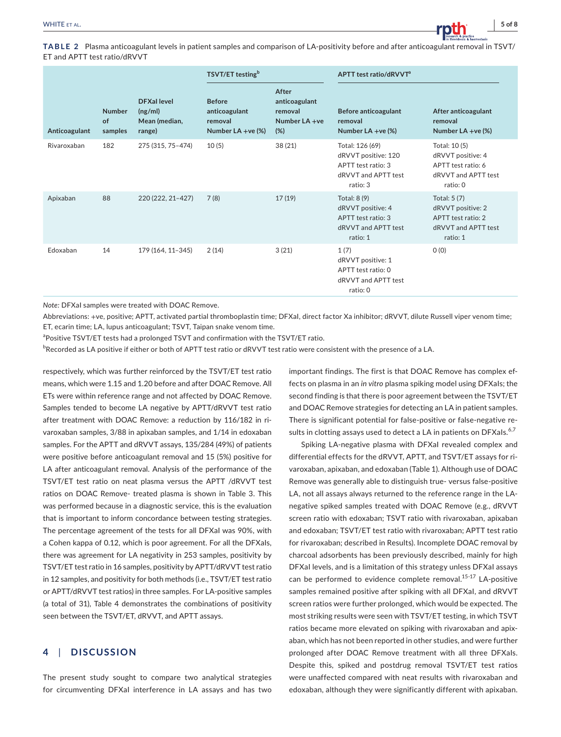**TABLE 2** Plasma anticoagulant levels in patient samples and comparison of LA-positivity before and after anticoagulant removal in TSVT/ ET and APTT test ratio/dRVVT

|               |                                       |                                                         | TSVT/ET testing <sup>b</sup>                                      |                                                           | APTT test ratio/dRVVT <sup>a</sup>                                                              |                                                                                            |  |
|---------------|---------------------------------------|---------------------------------------------------------|-------------------------------------------------------------------|-----------------------------------------------------------|-------------------------------------------------------------------------------------------------|--------------------------------------------------------------------------------------------|--|
| Anticoagulant | <b>Number</b><br><b>of</b><br>samples | <b>DFXallevel</b><br>(ng/ml)<br>Mean (median,<br>range) | <b>Before</b><br>anticoagulant<br>removal<br>Number LA + $ve$ (%) | After<br>anticoagulant<br>removal<br>Number LA +ve<br>(%) | <b>Before anticoagulant</b><br>removal<br>Number $LA +ve$ (%)                                   | After anticoagulant<br>removal<br>Number $LA + ve$ (%)                                     |  |
| Rivaroxaban   | 182                                   | 275 (315, 75-474)                                       | 10(5)                                                             | 38 (21)                                                   | Total: 126 (69)<br>dRVVT positive: 120<br>APTT test ratio: 3<br>dRVVT and APTT test<br>ratio: 3 | Total: 10(5)<br>dRVVT positive: 4<br>APTT test ratio: 6<br>dRVVT and APTT test<br>ratio: 0 |  |
| Apixaban      | 88                                    | 220 (222, 21-427)                                       | 7(8)                                                              | 17(19)                                                    | Total: 8 (9)<br>dRVVT positive: 4<br>APTT test ratio: 3<br>dRVVT and APTT test<br>ratio: 1      | Total: 5 (7)<br>dRVVT positive: 2<br>APTT test ratio: 2<br>dRVVT and APTT test<br>ratio: 1 |  |
| Edoxaban      | 14                                    | 179 (164, 11-345)                                       | 2(14)                                                             | 3(21)                                                     | 1(7)<br>dRVVT positive: 1<br>APTT test ratio: 0<br>dRVVT and APTT test<br>ratio: 0              | O(0)                                                                                       |  |

*Note:* DFXaI samples were treated with DOAC Remove.

Abbreviations: +ve, positive; APTT, activated partial thromboplastin time; DFXaI, direct factor Xa inhibitor; dRVVT, dilute Russell viper venom time; ET, ecarin time; LA, lupus anticoagulant; TSVT, Taipan snake venom time.

<sup>a</sup>Positive TSVT/ET tests had a prolonged TSVT and confirmation with the TSVT/ET ratio.

 $^{\rm b}$ Recorded as LA positive if either or both of APTT test ratio or dRVVT test ratio were consistent with the presence of a LA.

respectively, which was further reinforced by the TSVT/ET test ratio means, which were 1.15 and 1.20 before and after DOAC Remove. All ETs were within reference range and not affected by DOAC Remove. Samples tended to become LA negative by APTT/dRVVT test ratio after treatment with DOAC Remove: a reduction by 116/182 in rivaroxaban samples, 3/88 in apixaban samples, and 1/14 in edoxaban samples. For the APTT and dRVVT assays, 135/284 (49%) of patients were positive before anticoagulant removal and 15 (5%) positive for LA after anticoagulant removal. Analysis of the performance of the TSVT/ET test ratio on neat plasma versus the APTT /dRVVT test ratios on DOAC Remove- treated plasma is shown in Table 3. This was performed because in a diagnostic service, this is the evaluation that is important to inform concordance between testing strategies. The percentage agreement of the tests for all DFXaI was 90%, with a Cohen kappa of 0.12, which is poor agreement. For all the DFXaIs, there was agreement for LA negativity in 253 samples, positivity by TSVT/ET test ratio in 16 samples, positivity by APTT/dRVVT test ratio in 12 samples, and positivity for both methods (i.e., TSVT/ET test ratio or APTT/dRVVT test ratios) in three samples. For LA-positive samples (a total of 31), Table 4 demonstrates the combinations of positivity seen between the TSVT/ET, dRVVT, and APTT assays.

# **4**  | **DISCUSSION**

The present study sought to compare two analytical strategies for circumventing DFXaI interference in LA assays and has two

important findings. The first is that DOAC Remove has complex effects on plasma in an *in vitro* plasma spiking model using DFXaIs; the second finding is that there is poor agreement between the TSVT/ET and DOAC Remove strategies for detecting an LA in patient samples. There is significant potential for false-positive or false-negative results in clotting assays used to detect a LA in patients on DFXals.<sup>6,7</sup>

Spiking LA-negative plasma with DFXaI revealed complex and differential effects for the dRVVT, APTT, and TSVT/ET assays for rivaroxaban, apixaban, and edoxaban (Table 1). Although use of DOAC Remove was generally able to distinguish true- versus false-positive LA, not all assays always returned to the reference range in the LAnegative spiked samples treated with DOAC Remove (e.g., dRVVT screen ratio with edoxaban; TSVT ratio with rivaroxaban, apixaban and edoxaban; TSVT/ET test ratio with rivaroxaban; APTT test ratio for rivaroxaban; described in Results). Incomplete DOAC removal by charcoal adsorbents has been previously described, mainly for high DFXaI levels, and is a limitation of this strategy unless DFXaI assays can be performed to evidence complete removal.<sup>15-17</sup> LA-positive samples remained positive after spiking with all DFXaI, and dRVVT screen ratios were further prolonged, which would be expected. The most striking results were seen with TSVT/ET testing, in which TSVT ratios became more elevated on spiking with rivaroxaban and apixaban, which has not been reported in other studies, and were further prolonged after DOAC Remove treatment with all three DFXaIs. Despite this, spiked and postdrug removal TSVT/ET test ratios were unaffected compared with neat results with rivaroxaban and edoxaban, although they were significantly different with apixaban.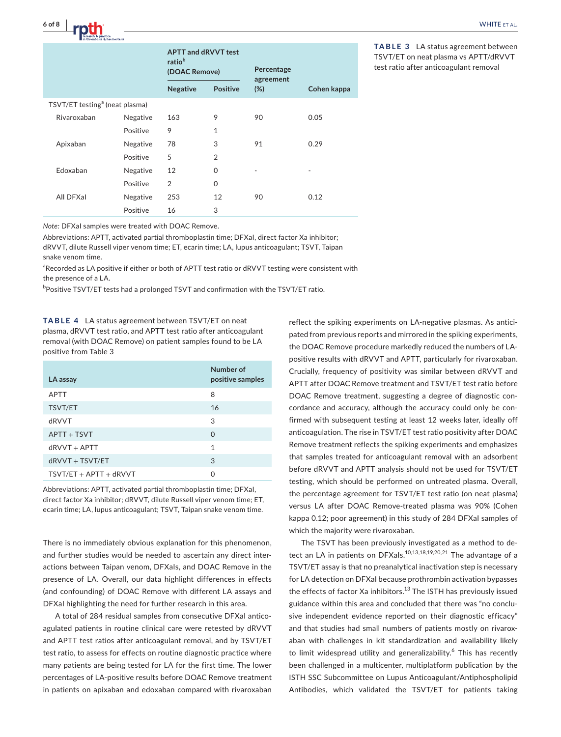|                                            |          | <b>APTT and dRVVT test</b><br>ratio <sup>b</sup><br>(DOAC Remove) |                 | Percentage<br>agreement |             |
|--------------------------------------------|----------|-------------------------------------------------------------------|-----------------|-------------------------|-------------|
|                                            |          | <b>Negative</b>                                                   | <b>Positive</b> | (%)                     | Cohen kappa |
| TSVT/ET testing <sup>a</sup> (neat plasma) |          |                                                                   |                 |                         |             |
| Rivaroxaban                                | Negative | 163                                                               | 9               | 90                      | 0.05        |
|                                            | Positive | 9                                                                 | $\mathbf{1}$    |                         |             |
| Apixaban                                   | Negative | 78                                                                | 3               | 91                      | 0.29        |
|                                            | Positive | 5                                                                 | $\overline{2}$  |                         |             |
| Edoxaban                                   | Negative | 12                                                                | $\Omega$        | ٠                       |             |
|                                            | Positive | $\overline{2}$                                                    | $\mathbf 0$     |                         |             |
| All DFXal                                  | Negative | 253                                                               | 12              | 90                      | 0.12        |
|                                            | Positive | 16                                                                | 3               |                         |             |

**TABLE 3** LA status agreement between TSVT/ET on neat plasma vs APTT/dRVVT test ratio after anticoagulant removal

*Note:* DFXaI samples were treated with DOAC Remove.

Abbreviations: APTT, activated partial thromboplastin time; DFXaI, direct factor Xa inhibitor;

dRVVT, dilute Russell viper venom time; ET, ecarin time; LA, lupus anticoagulant; TSVT, Taipan snake venom time.

<sup>a</sup>Recorded as LA positive if either or both of APTT test ratio or dRVVT testing were consistent with the presence of a LA.

<sup>b</sup>Positive TSVT/ET tests had a prolonged TSVT and confirmation with the TSVT/ET ratio.

**TABLE 4** LA status agreement between TSVT/ET on neat plasma, dRVVT test ratio, and APTT test ratio after anticoagulant removal (with DOAC Remove) on patient samples found to be LA positive from Table 3

| LA assay                 | Number of<br>positive samples |
|--------------------------|-------------------------------|
| <b>APTT</b>              | 8                             |
| <b>TSVT/ET</b>           | 16                            |
| dRVVT                    | 3                             |
| APTT + TSVT              | $\Omega$                      |
| $d$ RVVT + APTT          | 1                             |
| $d$ RVVT + TSVT/ET       | 3                             |
| $TSVT/ET + APTT + dRVVT$ | ∩                             |

Abbreviations: APTT, activated partial thromboplastin time; DFXaI, direct factor Xa inhibitor; dRVVT, dilute Russell viper venom time; ET, ecarin time; LA, lupus anticoagulant; TSVT, Taipan snake venom time.

There is no immediately obvious explanation for this phenomenon, and further studies would be needed to ascertain any direct interactions between Taipan venom, DFXaIs, and DOAC Remove in the presence of LA. Overall, our data highlight differences in effects (and confounding) of DOAC Remove with different LA assays and DFXaI highlighting the need for further research in this area.

A total of 284 residual samples from consecutive DFXaI anticoagulated patients in routine clinical care were retested by dRVVT and APTT test ratios after anticoagulant removal, and by TSVT/ET test ratio, to assess for effects on routine diagnostic practice where many patients are being tested for LA for the first time. The lower percentages of LA-positive results before DOAC Remove treatment in patients on apixaban and edoxaban compared with rivaroxaban

reflect the spiking experiments on LA-negative plasmas. As anticipated from previous reports and mirrored in the spiking experiments, the DOAC Remove procedure markedly reduced the numbers of LApositive results with dRVVT and APTT, particularly for rivaroxaban. Crucially, frequency of positivity was similar between dRVVT and APTT after DOAC Remove treatment and TSVT/ET test ratio before DOAC Remove treatment, suggesting a degree of diagnostic concordance and accuracy, although the accuracy could only be confirmed with subsequent testing at least 12 weeks later, ideally off anticoagulation. The rise in TSVT/ET test ratio positivity after DOAC Remove treatment reflects the spiking experiments and emphasizes that samples treated for anticoagulant removal with an adsorbent before dRVVT and APTT analysis should not be used for TSVT/ET testing, which should be performed on untreated plasma. Overall, the percentage agreement for TSVT/ET test ratio (on neat plasma) versus LA after DOAC Remove-treated plasma was 90% (Cohen kappa 0.12; poor agreement) in this study of 284 DFXaI samples of which the majority were rivaroxaban.

The TSVT has been previously investigated as a method to detect an LA in patients on DFXals.<sup>10,13,18,19,20,21</sup> The advantage of a TSVT/ET assay is that no preanalytical inactivation step is necessary for LA detection on DFXaI because prothrombin activation bypasses the effects of factor Xa inhibitors.<sup>13</sup> The ISTH has previously issued guidance within this area and concluded that there was "no conclusive independent evidence reported on their diagnostic efficacy" and that studies had small numbers of patients mostly on rivaroxaban with challenges in kit standardization and availability likely to limit widespread utility and generalizability.<sup>6</sup> This has recently been challenged in a multicenter, multiplatform publication by the ISTH SSC Subcommittee on Lupus Anticoagulant/Antiphospholipid Antibodies, which validated the TSVT/ET for patients taking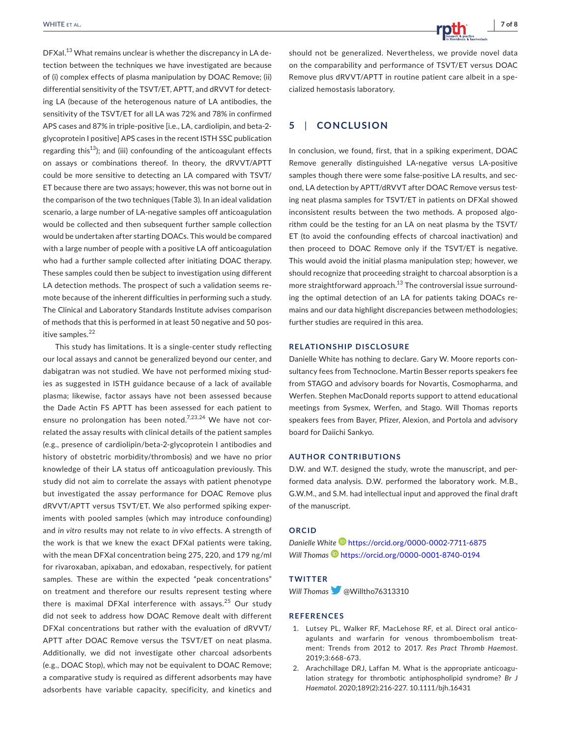DFXal.<sup>13</sup> What remains unclear is whether the discrepancy in LA detection between the techniques we have investigated are because of (i) complex effects of plasma manipulation by DOAC Remove; (ii) differential sensitivity of the TSVT/ET, APTT, and dRVVT for detecting LA (because of the heterogenous nature of LA antibodies, the sensitivity of the TSVT/ET for all LA was 72% and 78% in confirmed APS cases and 87% in triple-positive [i.e., LA, cardiolipin, and beta-2 glycoprotein I positive] APS cases in the recent ISTH SSC publication regarding this<sup>13</sup>); and (iii) confounding of the anticoagulant effects on assays or combinations thereof. In theory, the dRVVT/APTT could be more sensitive to detecting an LA compared with TSVT/ ET because there are two assays; however, this was not borne out in the comparison of the two techniques (Table 3). In an ideal validation scenario, a large number of LA-negative samples off anticoagulation would be collected and then subsequent further sample collection would be undertaken after starting DOACs. This would be compared with a large number of people with a positive LA off anticoagulation who had a further sample collected after initiating DOAC therapy. These samples could then be subject to investigation using different LA detection methods. The prospect of such a validation seems remote because of the inherent difficulties in performing such a study. The Clinical and Laboratory Standards Institute advises comparison of methods that this is performed in at least 50 negative and 50 positive samples.<sup>22</sup>

This study has limitations. It is a single-center study reflecting our local assays and cannot be generalized beyond our center, and dabigatran was not studied. We have not performed mixing studies as suggested in ISTH guidance because of a lack of available plasma; likewise, factor assays have not been assessed because the Dade Actin FS APTT has been assessed for each patient to ensure no prolongation has been noted.<sup>7,23,24</sup> We have not correlated the assay results with clinical details of the patient samples (e.g., presence of cardiolipin/beta-2-glycoprotein I antibodies and history of obstetric morbidity/thrombosis) and we have no prior knowledge of their LA status off anticoagulation previously. This study did not aim to correlate the assays with patient phenotype but investigated the assay performance for DOAC Remove plus dRVVT/APTT versus TSVT/ET. We also performed spiking experiments with pooled samples (which may introduce confounding) and *in vitro* results may not relate to *in vivo* effects. A strength of the work is that we knew the exact DFXaI patients were taking, with the mean DFXaI concentration being 275, 220, and 179 ng/ml for rivaroxaban, apixaban, and edoxaban, respectively, for patient samples. These are within the expected "peak concentrations" on treatment and therefore our results represent testing where there is maximal DFXal interference with assays.<sup>25</sup> Our study did not seek to address how DOAC Remove dealt with different DFXaI concentrations but rather with the evaluation of dRVVT/ APTT after DOAC Remove versus the TSVT/ET on neat plasma. Additionally, we did not investigate other charcoal adsorbents (e.g., DOAC Stop), which may not be equivalent to DOAC Remove; a comparative study is required as different adsorbents may have adsorbents have variable capacity, specificity, and kinetics and

should not be generalized. Nevertheless, we provide novel data on the comparability and performance of TSVT/ET versus DOAC Remove plus dRVVT/APTT in routine patient care albeit in a specialized hemostasis laboratory.

# **5**  | **CONCLUSION**

In conclusion, we found, first, that in a spiking experiment, DOAC Remove generally distinguished LA-negative versus LA-positive samples though there were some false-positive LA results, and second, LA detection by APTT/dRVVT after DOAC Remove versus testing neat plasma samples for TSVT/ET in patients on DFXaI showed inconsistent results between the two methods. A proposed algorithm could be the testing for an LA on neat plasma by the TSVT/ ET (to avoid the confounding effects of charcoal inactivation) and then proceed to DOAC Remove only if the TSVT/ET is negative. This would avoid the initial plasma manipulation step; however, we should recognize that proceeding straight to charcoal absorption is a more straightforward approach.<sup>13</sup> The controversial issue surrounding the optimal detection of an LA for patients taking DOACs remains and our data highlight discrepancies between methodologies; further studies are required in this area.

#### **RELATIONSHIP DISCLOSURE**

Danielle White has nothing to declare. Gary W. Moore reports consultancy fees from Technoclone. Martin Besser reports speakers fee from STAGO and advisory boards for Novartis, Cosmopharma, and Werfen. Stephen MacDonald reports support to attend educational meetings from Sysmex, Werfen, and Stago. Will Thomas reports speakers fees from Bayer, Pfizer, Alexion, and Portola and advisory board for Daiichi Sankyo.

#### **AUTHOR CONTRIBUTIONS**

D.W. and W.T. designed the study, wrote the manuscript, and performed data analysis. D.W. performed the laboratory work. M.B., G.W.M., and S.M. had intellectual input and approved the final draft of the manuscript.

#### **ORCID**

*Danielle White* <https://orcid.org/0000-0002-7711-6875> Will Thomas **b** <https://orcid.org/0000-0001-8740-0194>

#### **TWITTER**

*Will Thomas* [@](https://twitter.com/Willtho76313310)Willtho76313310

#### **REFERENCES**

- 1. Lutsey PL, Walker RF, MacLehose RF, et al. Direct oral anticoagulants and warfarin for venous thromboembolism treatment: Trends from 2012 to 2017. *Res Pract Thromb Haemost*. 2019;3:668-673.
- 2. Arachchillage DRJ, Laffan M. What is the appropriate anticoagulation strategy for thrombotic antiphospholipid syndrome? *Br J Haematol*. 2020;189(2):216-227. [10.1111/bjh.16431](https://doi.org/10.1111/bjh.16431)